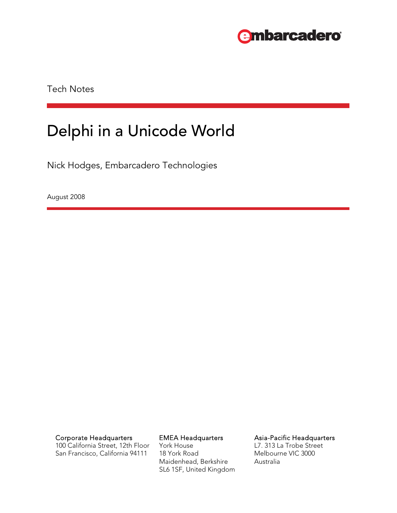

Tech Notes

# Delphi in a Unicode World

Nick Hodges, Embarcadero Technologies

August 2008

100 California Street, 12th Floor San Francisco, California 94111

York House 18 York Road Maidenhead, Berkshire SL6 1SF, United Kingdom

Corporate Headquarters **EMEA Headquarters** Asia-Pacific Headquarters

L7. 313 La Trobe Street Melbourne VIC 3000 Australia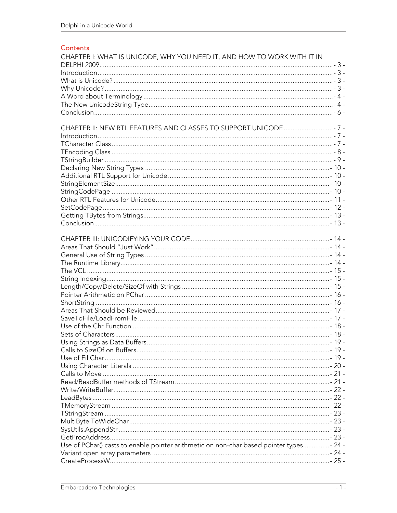#### Contents

| CHAPTER I: WHAT IS UNICODE, WHY YOU NEED IT, AND HOW TO WORK WITH IT IN                  |  |
|------------------------------------------------------------------------------------------|--|
|                                                                                          |  |
|                                                                                          |  |
|                                                                                          |  |
|                                                                                          |  |
|                                                                                          |  |
|                                                                                          |  |
|                                                                                          |  |
|                                                                                          |  |
|                                                                                          |  |
|                                                                                          |  |
|                                                                                          |  |
|                                                                                          |  |
|                                                                                          |  |
|                                                                                          |  |
|                                                                                          |  |
|                                                                                          |  |
|                                                                                          |  |
|                                                                                          |  |
|                                                                                          |  |
|                                                                                          |  |
|                                                                                          |  |
|                                                                                          |  |
|                                                                                          |  |
|                                                                                          |  |
|                                                                                          |  |
|                                                                                          |  |
|                                                                                          |  |
|                                                                                          |  |
|                                                                                          |  |
|                                                                                          |  |
|                                                                                          |  |
|                                                                                          |  |
|                                                                                          |  |
|                                                                                          |  |
|                                                                                          |  |
|                                                                                          |  |
|                                                                                          |  |
|                                                                                          |  |
|                                                                                          |  |
|                                                                                          |  |
|                                                                                          |  |
|                                                                                          |  |
|                                                                                          |  |
|                                                                                          |  |
|                                                                                          |  |
|                                                                                          |  |
|                                                                                          |  |
|                                                                                          |  |
| Use of PChar() casts to enable pointer arithmetic on non-char based pointer types - 24 - |  |
|                                                                                          |  |
|                                                                                          |  |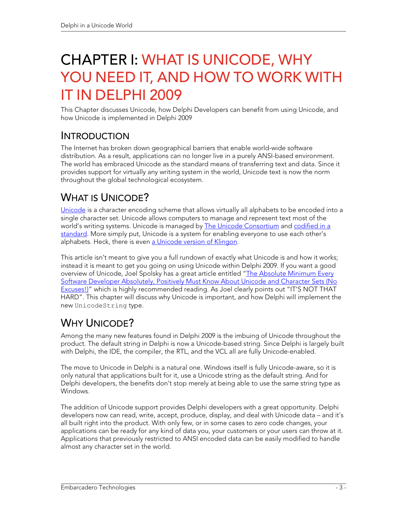# CHAPTER I: WHAT IS UNICODE, WHY YOU NEED IT, AND HOW TO WORK WITH IT IN DELPHI 2009

This Chapter discusses Unicode, how Delphi Developers can benefit from using Unicode, and how Unicode is implemented in Delphi 2009

### INTRODUCTION

The Internet has broken down geographical barriers that enable world-wide software distribution. As a result, applications can no longer live in a purely ANSI-based environment. The world has embraced Unicode as the standard means of transferring text and data. Since it provides support for virtually any writing system in the world, Unicode text is now the norm throughout the global technological ecosystem.

# WHAT IS UNICODE?

Unicode is a character encoding scheme that allows virtually all alphabets to be encoded into a single character set. Unicode allows computers to manage and represent text most of the world's writing systems. Unicode is managed by The Unicode Consortium and codified in a standard. More simply put, Unicode is a system for enabling everyone to use each other's alphabets. Heck, there is even a Unicode version of Klingon.

This article isn't meant to give you a full rundown of exactly what Unicode is and how it works; instead it is meant to get you going on using Unicode within Delphi 2009. If you want a good overview of Unicode, Joel Spolsky has a great article entitled "The Absolute Minimum Every Software Developer Absolutely, Positively Must Know About Unicode and Character Sets (No Excuses!)" which is highly recommended reading. As Joel clearly points out "IT'S NOT THAT HARD". This chapter will discuss why Unicode is important, and how Delphi will implement the new UnicodeString type.

# WHY UNICODE?

Among the many new features found in Delphi 2009 is the imbuing of Unicode throughout the product. The default string in Delphi is now a Unicode-based string. Since Delphi is largely built with Delphi, the IDE, the compiler, the RTL, and the VCL all are fully Unicode-enabled.

The move to Unicode in Delphi is a natural one. Windows itself is fully Unicode-aware, so it is only natural that applications built for it, use a Unicode string as the default string. And for Delphi developers, the benefits don't stop merely at being able to use the same string type as Windows.

The addition of Unicode support provides Delphi developers with a great opportunity. Delphi developers now can read, write, accept, produce, display, and deal with Unicode data – and it's all built right into the product. With only few, or in some cases to zero code changes, your applications can be ready for any kind of data you, your customers or your users can throw at it. Applications that previously restricted to ANSI encoded data can be easily modified to handle almost any character set in the world.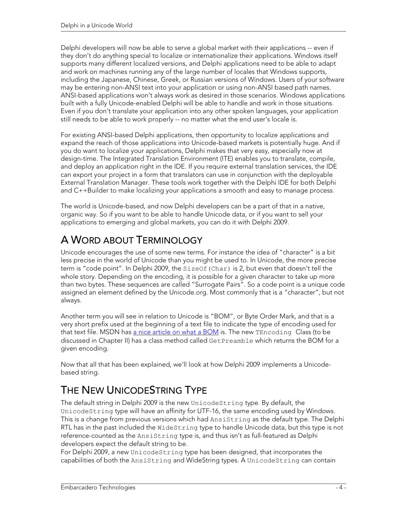Delphi developers will now be able to serve a global market with their applications -- even if they don't do anything special to localize or internationalize their applications. Windows itself supports many different localized versions, and Delphi applications need to be able to adapt and work on machines running any of the large number of locales that Windows supports, including the Japanese, Chinese, Greek, or Russian versions of Windows. Users of your software may be entering non-ANSI text into your application or using non-ANSI based path names. ANSI-based applications won't always work as desired in those scenarios. Windows applications built with a fully Unicode-enabled Delphi will be able to handle and work in those situations. Even if you don't translate your application into any other spoken languages, your application still needs to be able to work properly -- no matter what the end user's locale is.

For existing ANSI-based Delphi applications, then opportunity to localize applications and expand the reach of those applications into Unicode-based markets is potentially huge. And if you do want to localize your applications, Delphi makes that very easy, especially now at design-time. The Integrated Translation Environment (ITE) enables you to translate, compile, and deploy an application right in the IDE. If you require external translation services, the IDE can export your project in a form that translators can use in conjunction with the deployable External Translation Manager. These tools work together with the Delphi IDE for both Delphi and C++Builder to make localizing your applications a smooth and easy to manage process.

The world is Unicode-based, and now Delphi developers can be a part of that in a native, organic way. So if you want to be able to handle Unicode data, or if you want to sell your applications to emerging and global markets, you can do it with Delphi 2009.

# A WORD ABOUT TERMINOLOGY

Unicode encourages the use of some new terms. For instance the idea of "character" is a bit less precise in the world of Unicode than you might be used to. In Unicode, the more precise term is "code point". In Delphi 2009, the SizeOf(Char) is 2, but even that doesn't tell the whole story. Depending on the encoding, it is possible for a given character to take up more than two bytes. These sequences are called "Surrogate Pairs". So a code point is a unique code assigned an element defined by the Unicode.org. Most commonly that is a "character", but not always.

Another term you will see in relation to Unicode is "BOM", or Byte Order Mark, and that is a very short prefix used at the beginning of a text file to indicate the type of encoding used for that text file. MSDN has a nice article on what a BOM is. The new TEncoding Class (to be discussed in Chapter II) has a class method called GetPreamble which returns the BOM for a given encoding.

Now that all that has been explained, we'll look at how Delphi 2009 implements a Unicodebased string.

# THE NEW UNICODESTRING TYPE

The default string in Delphi 2009 is the new UnicodeString type. By default, the UnicodeString type will have an affinity for UTF-16, the same encoding used by Windows. This is a change from previous versions which had AnsiString as the default type. The Delphi RTL has in the past included the WideString type to handle Unicode data, but this type is not reference-counted as the AnsiString type is, and thus isn't as full-featured as Delphi developers expect the default string to be.

For Delphi 2009, a new UnicodeString type has been designed, that incorporates the capabilities of both the AnsiString and WideString types. A UnicodeString can contain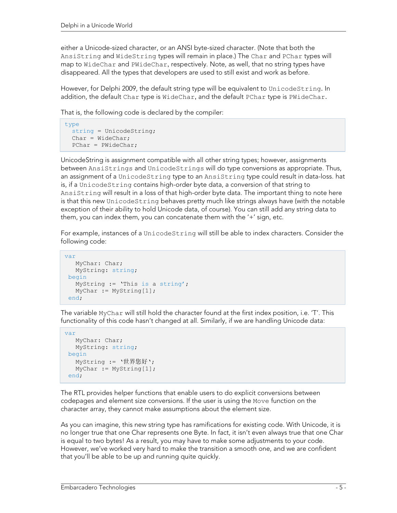either a Unicode-sized character, or an ANSI byte-sized character. (Note that both the AnsiString and WideString types will remain in place.) The Char and PChar types will map to WideChar and PWideChar, respectively. Note, as well, that no string types have disappeared. All the types that developers are used to still exist and work as before.

However, for Delphi 2009, the default string type will be equivalent to UnicodeString. In addition, the default Char type is WideChar, and the default PChar type is PWideChar.

That is, the following code is declared by the compiler:

```
type 
   string = UnicodeString; 
  Char = WideChar; PChar = PWideChar;
```
UnicodeString is assignment compatible with all other string types; however, assignments between AnsiStrings and UnicodeStrings will do type conversions as appropriate. Thus, an assignment of a UnicodeString type to an AnsiString type could result in data-loss. hat is, if a UnicodeString contains high-order byte data, a conversion of that string to AnsiString will result in a loss of that high-order byte data. The important thing to note here is that this new UnicodeString behaves pretty much like strings always have (with the notable exception of their ability to hold Unicode data, of course). You can still add any string data to them, you can index them, you can concatenate them with the '+' sign, etc.

For example, instances of a UnicodeString will still be able to index characters. Consider the following code:

```
var 
   MyChar: Char; 
   MyString: string; 
begin 
    MyString := 'This is a string'; 
   MyChar := MyString[1];
 end;
```
The variable MyChar will still hold the character found at the first index position, i.e. 'T'. This functionality of this code hasn't changed at all. Similarly, if we are handling Unicode data:

```
T and T will still hold the character found at the first index position, i.e. '.. '\mu'.
var 
     MyChar: Char; 
    MyString: string; 
 begin 
     MyString := '世界您好'; 
     MyChar := MyString[1]; 
  end;
```
The RTL provides helper functions that enable users to do explicit conversions between codepages and element size conversions. If the user is using the Move function on the character array, they cannot make assumptions about the element size.

As you can imagine, this new string type has ramifications for existing code. With Unicode, it is no longer true that one Char represents one Byte. In fact, it isn't even always true that one Char is equal to two bytes! As a result, you may have to make some adjustments to your code. However, we've worked very hard to make the transition a smooth one, and we are confident that you'll be able to be up and running quite quickly.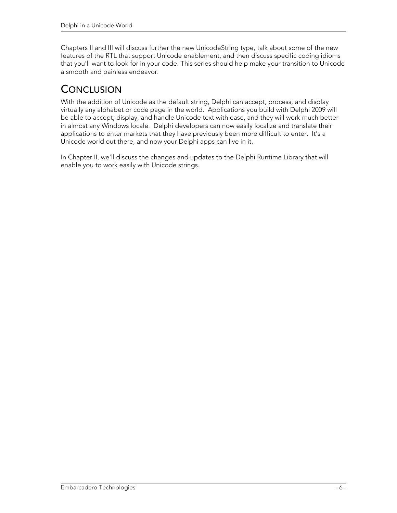Chapters II and III will discuss further the new UnicodeString type, talk about some of the new features of the RTL that support Unicode enablement, and then discuss specific coding idioms that you'll want to look for in your code. This series should help make your transition to Unicode a smooth and painless endeavor.

# **CONCLUSION**

With the addition of Unicode as the default string, Delphi can accept, process, and display virtually any alphabet or code page in the world. Applications you build with Delphi 2009 will be able to accept, display, and handle Unicode text with ease, and they will work much better in almost any Windows locale. Delphi developers can now easily localize and translate their applications to enter markets that they have previously been more difficult to enter. It's a Unicode world out there, and now your Delphi apps can live in it.

In Chapter II, we'll discuss the changes and updates to the Delphi Runtime Library that will enable you to work easily with Unicode strings.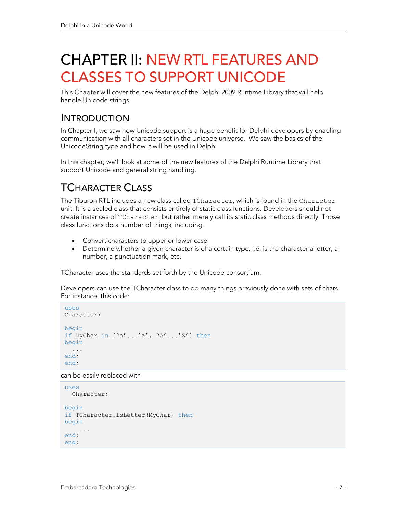# CHAPTER II: NEW RTL FEATURES AND CLASSES TO SUPPORT UNICODE

This Chapter will cover the new features of the Delphi 2009 Runtime Library that will help handle Unicode strings.

#### INTRODUCTION

In Chapter I, we saw how Unicode support is a huge benefit for Delphi developers by enabling communication with all characters set in the Unicode universe. We saw the basics of the UnicodeString type and how it will be used in Delphi

In this chapter, we'll look at some of the new features of the Delphi Runtime Library that support Unicode and general string handling.

# TCHARACTER CLASS

The Tiburon RTL includes a new class called TCharacter, which is found in the Character unit. It is a sealed class that consists entirely of static class functions. Developers should not create instances of TCharacter, but rather merely call its static class methods directly. Those class functions do a number of things, including:

- Convert characters to upper or lower case
- Determine whether a given character is of a certain type, i.e. is the character a letter, a number, a punctuation mark, etc.

TCharacter uses the standards set forth by the Unicode consortium.

Developers can use the TCharacter class to do many things previously done with sets of chars. For instance, this code:

```
uses 
Character; 
begin 
if MyChar in ['a'...'z', 'A'...'Z'] then 
begin 
   ... 
end; 
end;
```
can be easily replaced with

```
uses 
 Character; 
begin 
if TCharacter.IsLetter(MyChar) then
begin 
 ... 
end; 
end;
```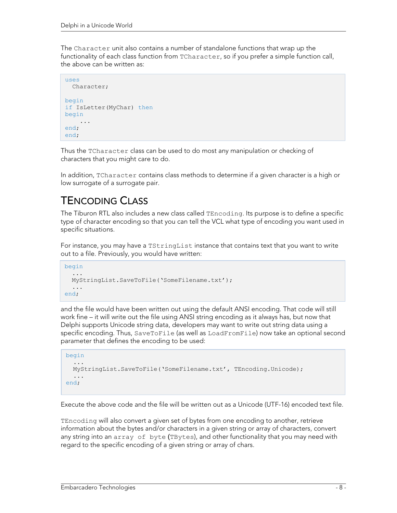The Character unit also contains a number of standalone functions that wrap up the functionality of each class function from TCharacter, so if you prefer a simple function call, the above can be written as:

```
11S^2 Character; 
begin 
if IsLetter(MyChar) then
begin 
 ... 
end; 
end;
```
Thus the TCharacter class can be used to do most any manipulation or checking of characters that you might care to do.

In addition, TCharacter contains class methods to determine if a given character is a high or low surrogate of a surrogate pair.

# TENCODING CLASS

The Tiburon RTL also includes a new class called TEncoding. Its purpose is to define a specific type of character encoding so that you can tell the VCL what type of encoding you want used in specific situations.

For instance, you may have a TStringList instance that contains text that you want to write out to a file. Previously, you would have written:

```
begin 
 ... 
   MyStringList.SaveToFile('SomeFilename.txt'); 
   ... 
end;
```
and the file would have been written out using the default ANSI encoding. That code will still work fine – it will write out the file using ANSI string encoding as it always has, but now that Delphi supports Unicode string data, developers may want to write out string data using a specific encoding. Thus, SaveToFile (as well as LoadFromFile) now take an optional second parameter that defines the encoding to be used:

```
begin 
 ... 
   MyStringList.SaveToFile('SomeFilename.txt', TEncoding.Unicode); 
   ... 
end;
```
Execute the above code and the file will be written out as a Unicode (UTF-16) encoded text file.

TEncoding will also convert a given set of bytes from one encoding to another, retrieve information about the bytes and/or characters in a given string or array of characters, convert any string into an array of byte (TBytes), and other functionality that you may need with regard to the specific encoding of a given string or array of chars.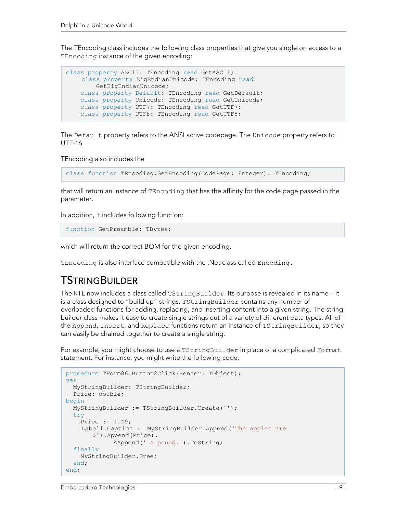The TEncoding class includes the following class properties that give you singleton access to a TEncoding instance of the given encoding:

```
class property ASCII: TEncoding read GetASCII; 
   class property BigEndianUnicode: TEncoding read 
         GetBigEndianUnicode; 
    class property Default: TEncoding read GetDefault; 
    class property Unicode: TEncoding read GetUnicode; 
    class property UTF7: TEncoding read GetUTF7; 
     class property UTF8: TEncoding read GetUTF8;
```
The Default property refers to the ANSI active codepage. The Unicode property refers to UTF-16.

TEncoding also includes the

class function TEncoding.GetEncoding(CodePage: Integer): TEncoding;

that will return an instance of TEncoding that has the affinity for the code page passed in the parameter.

In addition, it includes following function:

function GetPreamble: TBytes;

which will return the correct BOM for the given encoding.

TEncoding is also interface compatible with the .Net class called Encoding.

#### TSTRINGBUILDER

The RTL now includes a class called TStringBuilder. Its purpose is revealed in its name – it is a class designed to "build up" strings. TStringBuilder contains any number of overloaded functions for adding, replacing, and inserting content into a given string. The string builder class makes it easy to create single strings out of a variety of different data types. All of the Append, Insert, and Replace functions return an instance of TStringBuilder, so they can easily be chained together to create a single string.

For example, you might choose to use a TStringBuilder in place of a complicated Format statement. For instance, you might write the following code:

```
procedure TForm86.Button2Click(Sender: TObject); 
var 
   MyStringBuilder: TStringBuilder; 
   Price: double; 
begin 
   MyStringBuilder := TStringBuilder.Create(''); 
   try 
     Price := 1.49; 
    Label1.Caption := MyStringBuilder.Append('The apples are 
        $').Append(Price). 
               ÄAppend(' a pound.').ToString; 
   finally 
     MyStringBuilder.Free; 
   end; 
end;
```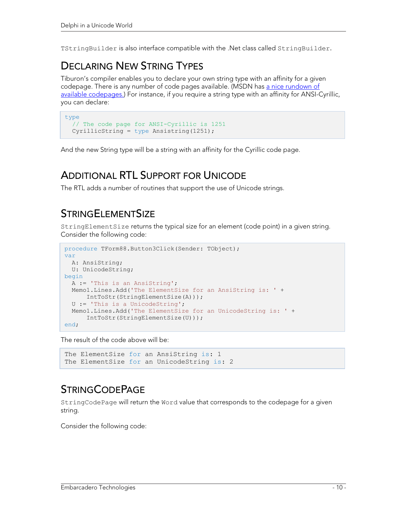TStringBuilder is also interface compatible with the .Net class called StringBuilder.

#### DECLARING NEW STRING TYPES

Tiburon's compiler enables you to declare your own string type with an affinity for a given codepage. There is any number of code pages available. (MSDN has a nice rundown of available codepages.) For instance, if you require a string type with an affinity for ANSI-Cyrillic, you can declare:

```
type 
   // The code page for ANSI-Cyrillic is 1251 
   CyrillicString = type Ansistring(1251);
```
And the new String type will be a string with an affinity for the Cyrillic code page.

#### ADDITIONAL RTL SUPPORT FOR UNICODE

The RTL adds a number of routines that support the use of Unicode strings.

### **STRINGELEMENTSIZE**

StringElementSize returns the typical size for an element (code point) in a given string. Consider the following code:

```
procedure TForm88.Button3Click(Sender: TObject); 
var 
  A: AnsiString; 
  U: UnicodeString; 
begin 
   A := 'This is an AnsiString'; 
  Memo1.Lines.Add('The ElementSize for an AnsiString is: ' +
       IntToStr(StringElementSize(A))); 
   U := 'This is a UnicodeString'; 
   Memo1.Lines.Add('The ElementSize for an UnicodeString is: ' + 
       IntToStr(StringElementSize(U))); 
end;
```
The result of the code above will be:

```
The ElementSize for an AnsiString is: 1
The ElementSize for an UnicodeString is: 2
```
#### **STRINGCODEPAGE**

StringCodePage will return the Word value that corresponds to the codepage for a given string.

Consider the following code: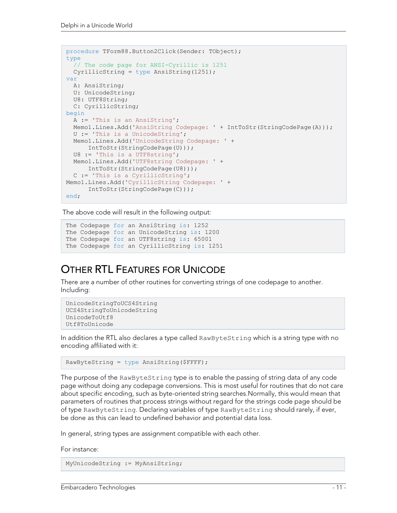```
procedure TForm88.Button2Click(Sender: TObject); 
type 
   // The code page for ANSI-Cyrillic is 1251 
   CyrillicString = type AnsiString(1251); 
var 
   A: AnsiString; 
   U: UnicodeString; 
   U8: UTF8String; 
   C: CyrillicString; 
begin 
   A := 'This is an AnsiString'; 
   Memo1.Lines.Add('AnsiString Codepage: ' + IntToStr(StringCodePage(A))); 
   U := 'This is a UnicodeString'; 
   Memo1.Lines.Add('UnicodeString Codepage: ' + 
      IntToStr(StringCodePage(U))); 
   U8 := 'This is a UTF8string'; 
   Memo1.Lines.Add('UTF8string Codepage: ' + 
      IntToStr(StringCodePage(U8))); 
   C := 'This is a CyrillicString'; 
Memo1.Lines.Add('CyrillicString Codepage: ' + 
       IntToStr(StringCodePage(C))); 
end;
```
The above code will result in the following output:

```
The Codepage for an AnsiString is: 1252
The Codepage for an UnicodeString is: 1200 
The Codepage for an UTF8string is: 65001 
The Codepage for an CyrillicString is: 1251
```
### OTHER RTL FEATURES FOR UNICODE

There are a number of other routines for converting strings of one codepage to another. Including:

```
UnicodeStringToUCS4String 
UCS4StringToUnicodeString 
UnicodeToUtf8 
Utf8ToUnicode
```
In addition the RTL also declares a type called RawByteString which is a string type with no encoding affiliated with it:

```
RawByteString = type AnsiString($FFFF);
```
The purpose of the RawByteString type is to enable the passing of string data of any code page without doing any codepage conversions. This is most useful for routines that do not care about specific encoding, such as byte-oriented string searches.Normally, this would mean that parameters of routines that process strings without regard for the strings code page should be of type RawByteString. Declaring variables of type RawByteString should rarely, if ever, be done as this can lead to undefined behavior and potential data loss.

In general, string types are assignment compatible with each other.

For instance:

T

MyUnicodeString := MyAnsiString;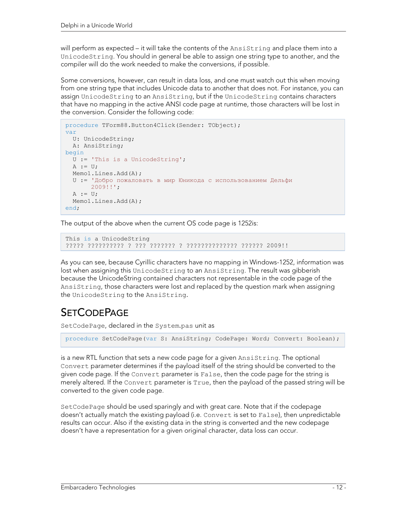will perform as expected – it will take the contents of the Ansistring and place them into a UnicodeString. You should in general be able to assign one string type to another, and the compiler will do the work needed to make the conversions, if possible.

Some conversions, however, can result in data loss, and one must watch out this when moving from one string type that includes Unicode data to another that does not. For instance, you can assign UnicodeString to an AnsiString, but if the UnicodeString contains characters that have no mapping in the active ANSI code page at runtime, those characters will be lost in the conversion. Consider the following code:

```
procedure TForm88.Button4Click(Sender: TObject); 
var 
  U: UnicodeString; 
  A: AnsiString; 
begin 
  U := 'This is a UnicodeString'; 
 A := U; Memo1.Lines.Add(A); 
   U := 'Добро пожаловать в мир Юникода с использованием Дельфи 
        2009!!'; 
 A := U;Memo1.Lines.Add(A);
end;
```
The output of the above when the current OS code page is 1252is:

This is a UnicodeString ????? ?????????? ? ??? ??????? ? ?????????????? ?????? 2009!!

As you can see, because Cyrillic characters have no mapping in Windows-1252, information was lost when assigning this UnicodeString to an AnsiString. The result was gibberish because the UnicodeString contained characters not representable in the code page of the AnsiString, those characters were lost and replaced by the question mark when assigning the UnicodeString to the AnsiString.

# **SETCODEPAGE**

SetCodePage, declared in the System.pas unit as

procedure SetCodePage(var S: AnsiString; CodePage: Word; Convert: Boolean);

is a new RTL function that sets a new code page for a given AnsiString. The optional Convert parameter determines if the payload itself of the string should be converted to the given code page. If the Convert parameter is False, then the code page for the string is merely altered. If the Convert parameter is True, then the payload of the passed string will be converted to the given code page.

SetCodePage should be used sparingly and with great care. Note that if the codepage doesn't actually match the existing payload (i.e. Convert is set to False), then unpredictable results can occur. Also if the existing data in the string is converted and the new codepage doesn't have a representation for a given original character, data loss can occur.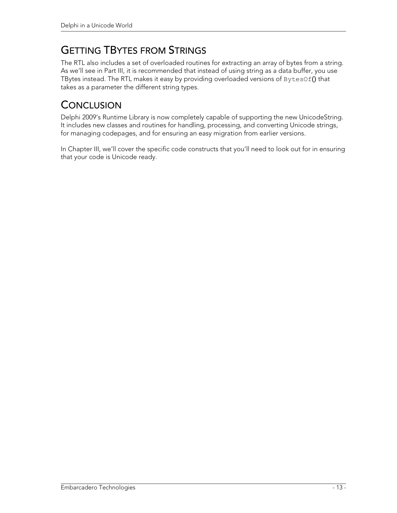# GETTING TBYTES FROM STRINGS

The RTL also includes a set of overloaded routines for extracting an array of bytes from a string. As we'll see in Part III, it is recommended that instead of using string as a data buffer, you use TBytes instead. The RTL makes it easy by providing overloaded versions of BytesOf() that takes as a parameter the different string types.

# **CONCLUSION**

Delphi 2009's Runtime Library is now completely capable of supporting the new UnicodeString. It includes new classes and routines for handling, processing, and converting Unicode strings, for managing codepages, and for ensuring an easy migration from earlier versions.

In Chapter III, we'll cover the specific code constructs that you'll need to look out for in ensuring that your code is Unicode ready.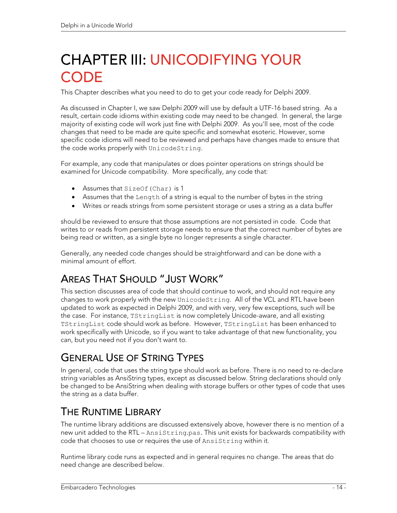# CHAPTER III: UNICODIFYING YOUR **CODE**

This Chapter describes what you need to do to get your code ready for Delphi 2009.

As discussed in Chapter I, we saw Delphi 2009 will use by default a UTF-16 based string. As a result, certain code idioms within existing code may need to be changed. In general, the large majority of existing code will work just fine with Delphi 2009. As you'll see, most of the code changes that need to be made are quite specific and somewhat esoteric. However, some specific code idioms will need to be reviewed and perhaps have changes made to ensure that the code works properly with UnicodeString.

For example, any code that manipulates or does pointer operations on strings should be examined for Unicode compatibility. More specifically, any code that:

- Assumes that SizeOf(Char) is 1
- Assumes that the Length of a string is equal to the number of bytes in the string
- Writes or reads strings from some persistent storage or uses a string as a data buffer

should be reviewed to ensure that those assumptions are not persisted in code. Code that writes to or reads from persistent storage needs to ensure that the correct number of bytes are being read or written, as a single byte no longer represents a single character.

Generally, any needed code changes should be straightforward and can be done with a minimal amount of effort.

# AREAS THAT SHOULD "JUST WORK"

This section discusses area of code that should continue to work, and should not require any changes to work properly with the new UnicodeString. All of the VCL and RTL have been updated to work as expected in Delphi 2009, and with very, very few exceptions, such will be the case. For instance, TStringList is now completely Unicode-aware, and all existing TStringList code should work as before. However, TStringList has been enhanced to work specifically with Unicode, so if you want to take advantage of that new functionality, you can, but you need not if you don't want to.

### GENERAL USE OF STRING TYPES

In general, code that uses the string type should work as before. There is no need to re-declare string variables as AnsiString types, except as discussed below. String declarations should only be changed to be AnsiString when dealing with storage buffers or other types of code that uses the string as a data buffer.

### THE RUNTIME LIBRARY

The runtime library additions are discussed extensively above, however there is no mention of a new unit added to the RTL – AnsiString.pas. This unit exists for backwards compatibility with code that chooses to use or requires the use of AnsiString within it.

Runtime library code runs as expected and in general requires no change. The areas that do need change are described below.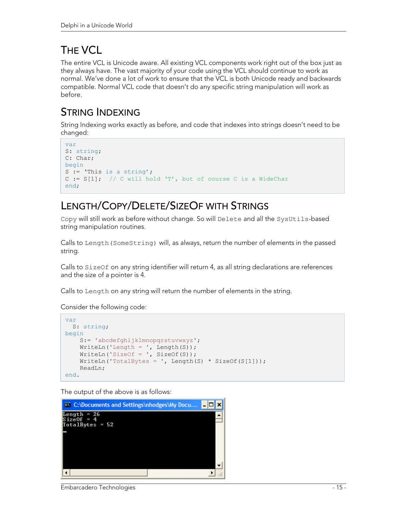# THE VCL

The entire VCL is Unicode aware. All existing VCL components work right out of the box just as they always have. The vast majority of your code using the VCL should continue to work as normal. We've done a lot of work to ensure that the VCL is both Unicode ready and backwards compatible. Normal VCL code that doesn't do any specific string manipulation will work as before.

## STRING INDEXING

String Indexing works exactly as before, and code that indexes into strings doesn't need to be changed:

```
var 
S: string; 
C: Char; 
begin 
S := 'This is a string';
C := S[1]; // C will hold 'T', but of course C is a WideChar
end;
```
# LENGTH/COPY/DELETE/SIZEOF WITH STRINGS

Copy will still work as before without change. So will Delete and all the SysUtils-based string manipulation routines.

Calls to Length(SomeString) will, as always, return the number of elements in the passed string.

Calls to SizeOf on any string identifier will return 4, as all string declarations are references and the size of a pointer is 4.

Calls to Length on any string will return the number of elements in the string.

Consider the following code:

```
var 
   S: string; 
begin 
    S:= 'abcdefghijklmnopgrstuvwxyz';
    WriteLn('Length = ', Length(S));
     WriteLn('SizeOf = ', SizeOf(S)); 
    WriteLn('TotalBytes = ', Length(S) * SizeOf(S[1]));
     ReadLn; 
end.
```
The output of the above is as follows:



Embarcadero Technologies - 15 -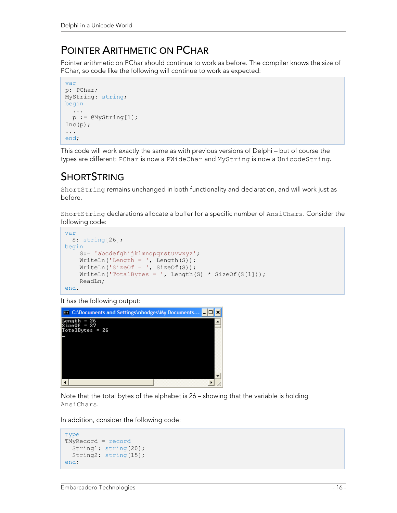#### POINTER ARITHMETIC ON PCHAR

Pointer arithmetic on PChar should continue to work as before. The compiler knows the size of PChar, so code like the following will continue to work as expected:

```
var 
p: PChar; 
MyString: string; 
begin 
   ... 
  p := \text{M}yString[1];Inc(p);
... 
end;
```
This code will work exactly the same as with previous versions of Delphi – but of course the types are different: PChar is now a PWideChar and MyString is now a UnicodeString.

# **SHORTSTRING**

ShortString remains unchanged in both functionality and declaration, and will work just as before.

ShortString declarations allocate a buffer for a specific number of AnsiChars. Consider the following code:

```
var 
  S: string[26]; 
begin 
    S:= 'abcdefghijklmnopqrstuvwxyz'; 
    WriteLn('Length = ', Length(S));
    WriteLn('SizeOf = ', SizeOf(S));
    WriteLn('TotalBytes = ', Length(S) * SizeOf(S[1]));
     ReadLn; 
end.
```
It has the following output:



Note that the total bytes of the alphabet is 26 – showing that the variable is holding AnsiChars.

In addition, consider the following code:

```
type 
TMyRecord = record
  String1: string[20]; 
   String2: string[15]; 
end;
```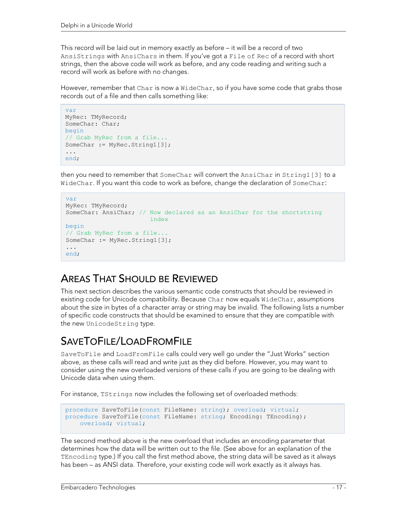This record will be laid out in memory exactly as before – it will be a record of two AnsiStrings with AnsiChars in them. If you've got a File of Rec of a record with short strings, then the above code will work as before, and any code reading and writing such a record will work as before with no changes.

However, remember that Char is now a WideChar, so if you have some code that grabs those records out of a file and then calls something like:

```
var 
MyRec: TMyRecord; 
SomeChar: Char; 
begin 
// Grab MyRec from a file... 
SomeChar := MyRec.String1[3];
... 
end;
```
then you need to remember that SomeChar will convert the AnsiChar in String1[3] to a WideChar. If you want this code to work as before, change the declaration of SomeChar:

```
var 
MyRec: TMyRecord; 
SomeChar: AnsiChar; // Now declared as an AnsiChar for the shortstring 
                         index 
begin 
// Grab MyRec from a file... 
SomeChar := MyRec.String1[3];
... 
end;
```
#### AREAS THAT SHOULD BE REVIEWED

This next section describes the various semantic code constructs that should be reviewed in existing code for Unicode compatibility. Because Char now equals WideChar, assumptions about the size in bytes of a character array or string may be invalid. The following lists a number of specific code constructs that should be examined to ensure that they are compatible with the new UnicodeString type.

### SAVETOFILE/LOADFROMFILE

SaveToFile and LoadFromFile calls could very well go under the "Just Works" section above, as these calls will read and write just as they did before. However, you may want to consider using the new overloaded versions of these calls if you are going to be dealing with Unicode data when using them.

For instance, TStrings now includes the following set of overloaded methods:

```
procedure SaveToFile(const FileName: string); overload; virtual; 
procedure SaveToFile(const FileName: string; Encoding: TEncoding); 
     overload; virtual;
```
The second method above is the new overload that includes an encoding parameter that determines how the data will be written out to the file. (See above for an explanation of the TEncoding type.) If you call the first method above, the string data will be saved as it always has been – as ANSI data. Therefore, your existing code will work exactly as it always has.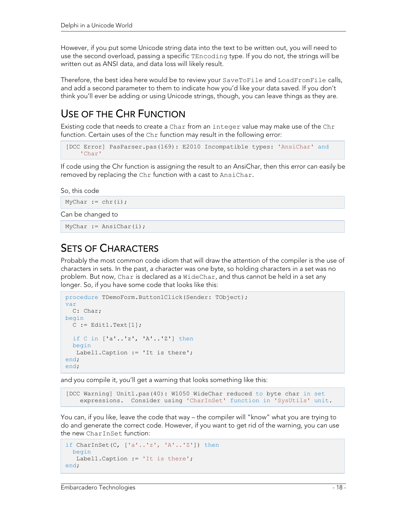However, if you put some Unicode string data into the text to be written out, you will need to use the second overload, passing a specific TEncoding type. If you do not, the strings will be written out as ANSI data, and data loss will likely result.

Therefore, the best idea here would be to review your SaveToFile and LoadFromFile calls, and add a second parameter to them to indicate how you'd like your data saved. If you don't think you'll ever be adding or using Unicode strings, though, you can leave things as they are.

# USE OF THE CHR FUNCTION

Existing code that needs to create a Char from an integer value may make use of the Chr function. Certain uses of the Chr function may result in the following error:

```
[DCC Error] PasParser.pas(169): E2010 Incompatible types: 'AnsiChar' and 
     'Char'
```
If code using the Chr function is assigning the result to an AnsiChar, then this error can easily be removed by replacing the Chr function with a cast to AnsiChar.

So, this code

```
MyChar := chr(i);
```
Can be changed to

MyChar := AnsiChar(i);

#### SETS OF CHARACTERS

Probably the most common code idiom that will draw the attention of the compiler is the use of characters in sets. In the past, a character was one byte, so holding characters in a set was no problem. But now, Char is declared as a WideChar, and thus cannot be held in a set any longer. So, if you have some code that looks like this:

```
procedure TDemoForm.Button1Click(Sender: TObject); 
var 
   C: Char; 
begin 
 C := Edit1. Text[1];
   if C in ['a'..'z', 'A'..'Z'] then
   begin 
    Label1.Caption := 'It is there'; 
end; 
end;
```
and you compile it, you'll get a warning that looks something like this:

[DCC Warning] Unit1.pas(40): W1050 WideChar reduced to byte char in set expressions. Consider using 'CharInSet' function in 'SysUtils' unit.

You can, if you like, leave the code that way – the compiler will "know" what you are trying to do and generate the correct code. However, if you want to get rid of the warning, you can use the new CharInSet function:

```
if CharInSet(C, [ 'a' \ldots 'z' , 'A' \ldots 'Z' ] ) then
   begin 
    Label1.Caption := 'It is there'; 
end;
```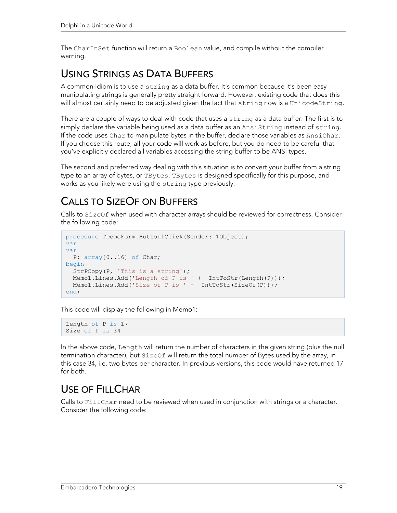The CharInSet function will return a Boolean value, and compile without the compiler warning.

### USING STRINGS AS DATA BUFFERS

A common idiom is to use a string as a data buffer. It's common because it's been easy - manipulating strings is generally pretty straight forward. However, existing code that does this will almost certainly need to be adjusted given the fact that string now is a UnicodeString.

There are a couple of ways to deal with code that uses a string as a data buffer. The first is to simply declare the variable being used as a data buffer as an AnsiString instead of string. If the code uses Char to manipulate bytes in the buffer, declare those variables as AnsiChar. If you choose this route, all your code will work as before, but you do need to be careful that you've explicitly declared all variables accessing the string buffer to be ANSI types.

The second and preferred way dealing with this situation is to convert your buffer from a string type to an array of bytes, or TBytes. TBytes is designed specifically for this purpose, and works as you likely were using the string type previously.

# CALLS TO SIZEOF ON BUFFERS

Calls to SizeOf when used with character arrays should be reviewed for correctness. Consider the following code:

```
procedure TDemoForm.Button1Click(Sender: TObject); 
var 
var 
   P: array[0..16] of Char; 
begin 
   StrPCopy(P, 'This is a string'); 
  Memol.Lines.Add('Length of P is ' + IntToStr(Length(P)));
  Memo1.Lines.Add('Size of P is ' + IntToStr(SizeOf(P)));
end;
```
This code will display the following in Memo1:

```
Length of P is 17 
Size of P is 34
```
In the above code, Length will return the number of characters in the given string (plus the null termination character), but SizeOf will return the total number of Bytes used by the array, in this case 34, i.e. two bytes per character. In previous versions, this code would have returned 17 for both.

### USE OF FILL CHAR

Calls to FillChar need to be reviewed when used in conjunction with strings or a character. Consider the following code: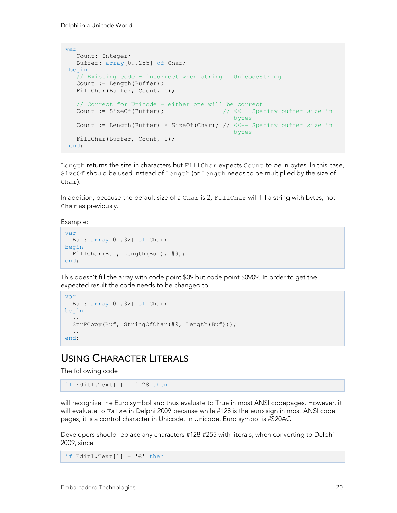```
var 
   Count: Integer; 
   Buffer: array[0..255] of Char; 
begin 
    // Existing code - incorrect when string = UnicodeString 
    Count := Length(Buffer); 
   FillChar(Buffer, Count, 0);
    // Correct for Unicode – either one will be correct 
   Count := SizeOf(Buffer); \frac{1}{5} // <<-- Specify buffer size in
bytes and the contract of the contract of the contract of the contract of the contract of the contract of the c
    Count := Length(Buffer) * SizeOf(Char); // <<-- Specify buffer size in 
                                                     bytes
   FillChar(Buffer, Count, 0);
 end;
```
Length returns the size in characters but FillChar expects Count to be in bytes. In this case, SizeOf should be used instead of Length (or Length needs to be multiplied by the size of Char).

In addition, because the default size of a Char is 2, FillChar will fill a string with bytes, not Char as previously.

Example:

```
var 
  Buf: array[0..32] of Char; 
begin 
  FillChar(Buf, Length(Buf), #9); 
end;
```
This doesn't fill the array with code point \$09 but code point \$0909. In order to get the expected result the code needs to be changed to:

```
var 
  Buf: array[0..32] of Char; 
begin 
 .. 
   StrPCopy(Buf, StringOfChar(#9, Length(Buf))); 
   .. 
end;
```
#### USING CHARACTER LITERALS

The following code

if Edit1.Text $[1]$  = #128 then

will recognize the Euro symbol and thus evaluate to True in most ANSI codepages. However, it will evaluate to False in Delphi 2009 because while #128 is the euro sign in most ANSI code pages, it is a control character in Unicode. In Unicode, Euro symbol is #\$20AC.

Developers should replace any characters #128-#255 with literals, when converting to Delphi 2009, since:

```
if Edit1.Text[1] = ' \in' then
```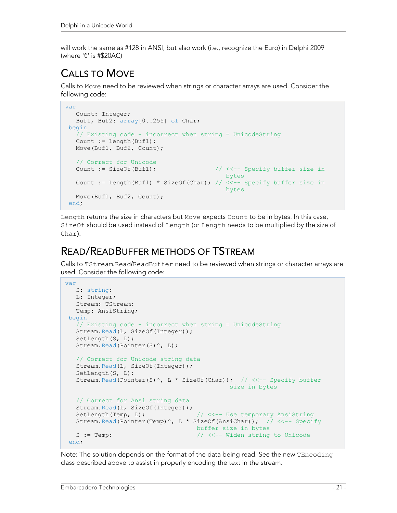will work the same as #128 in ANSI, but also work (i.e., recognize the Euro) in Delphi 2009 (where '€' is #\$20AC)

# CALLS TO MOVE

Calls to Move need to be reviewed when strings or character arrays are used. Consider the following code:

```
var 
    Count: Integer; 
    Buf1, Buf2: array[0..255] of Char; 
 begin 
    // Existing code - incorrect when string = UnicodeString 
    Count := Length(Buf1); 
   Move(Buf1, Buf2, Count);
   // Correct for Unicode<br>Count := SizeOf(Buf1);
                                                    // <<-- Specify buffer size in
bytes and the contract of the contract of the contract of the contract of the contract of the contract of the
   Count := Length(Buf1) * SizeOf(Char); // \langle\langle -1\rangle Specify buffer size in
                                                         bytes 
   Move(Buf1, Buf2, Count);
 end;
```
Length returns the size in characters but Move expects Count to be in bytes. In this case, SizeOf should be used instead of Length (or Length needs to be multiplied by the size of Char).

#### READ/READBUFFER METHODS OF TSTREAM

Calls to TStream.Read/ReadBuffer need to be reviewed when strings or character arrays are used. Consider the following code:

```
var 
   S: string; 
   L: Integer; 
    Stream: TStream; 
    Temp: AnsiString; 
begin 
   // Existing code - incorrect when string = UnicodeString 
    Stream.Read(L, SizeOf(Integer)); 
   SetLength(S, L);
  Stream. Read(Pointer(S)^, L);
    // Correct for Unicode string data 
    Stream.Read(L, SizeOf(Integer)); 
   SetLength(S, L);
   Stream.Read(Pointer(S)^, L * SizeOf(Char)); // <<-- Specify buffer
                                              size in bytes 
    // Correct for Ansi string data 
    Stream.Read(L, SizeOf(Integer)); 
   SetLength(Temp, L); \frac{1}{2} // <<-- Use temporary AnsiString
    Stream.Read(Pointer(Temp)^, L * SizeOf(AnsiChar)); // <<-- Specify 
                                     buffer size in bytes 
   S := Temp; \frac{1}{2} // <<-- Widen string to Unicode
 end;
```
Note: The solution depends on the format of the data being read. See the new TEncoding class described above to assist in properly encoding the text in the stream.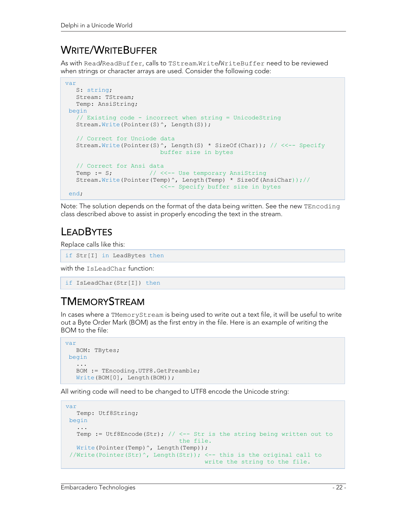## WRITE/WRITEBUFFER

As with Read/ReadBuffer, calls to TStream.Write/WriteBuffer need to be reviewed when strings or character arrays are used. Consider the following code:

```
var 
    S: string; 
    Stream: TStream; 
   Temp: AnsiString; 
begin 
    // Existing code - incorrect when string = UnicodeString 
   Stream.Write(Pointer(S)^, Length(S));
    // Correct for Unciode data 
   Stream.Write(Pointer(S)^, Length(S) * SizeOf(Char)); // <<-- Specify
                            buffer size in bytes 
    // Correct for Ansi data 
   Temp := S; \frac{1}{3} // <<-- Use temporary AnsiString
    Stream.Write(Pointer(Temp)^, Length(Temp) * SizeOf(AnsiChar));// 
                             <<-- Specify buffer size in bytes 
 end;
```
Note: The solution depends on the format of the data being written. See the new TEncoding class described above to assist in properly encoding the text in the stream.

# **LEADBYTES**

Replace calls like this:

if Str[I] in LeadBytes then

with the IsLeadChar function:

```
if IsLeadChar(Str[I]) then
```
# TMEMORYSTREAM

In cases where a TMemoryStream is being used to write out a text file, it will be useful to write out a Byte Order Mark (BOM) as the first entry in the file. Here is an example of writing the BOM to the file:

```
var 
    BOM: TBytes; 
 begin 
 ... 
    BOM := TEncoding.UTF8.GetPreamble; 
   Write(BOM[0], Length(BOM));
```
All writing code will need to be changed to UTF8 encode the Unicode string:

```
var 
    Temp: Utf8String; 
 begin 
    ... 
   Temp := Utf8Encode(Str); // \leftarrow - Str is the string being written out to
                                   the file. 
   Write(Pointer(Temp)^, Length(Temp));
  //Write(Pointer(Str)^, Length(Str)); <-- this is the original call to 
                                          write the string to the file.
```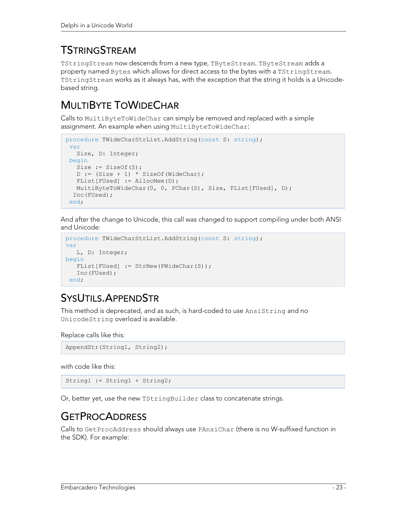# **TSTRINGSTREAM**

TStringStream now descends from a new type, TByteStream. TByteStream adds a property named Bytes which allows for direct access to the bytes with a TStringStream. TStringStream works as it always has, with the exception that the string it holds is a Unicodebased string.

# MULTIBYTE TOWIDECHAR

Calls to MultiByteToWideChar can simply be removed and replaced with a simple assignment. An example when using MultiByteToWideChar:

```
procedure TWideCharStrList.AddString(const S: string); 
 var 
    Size, D: Integer; 
 begin 
  Size := SizeOf(S);
  D := (Size + 1) * SizeOf(WideChar); FList[FUsed] := AllocMem(D); 
  MultiByteToWideChar(0, 0, PChar(S), Size, FList[FUsed], D);
   Inc(FUsed); 
 end;
```
And after the change to Unicode, this call was changed to support compiling under both ANSI and Unicode:

```
procedure TWideCharStrList.AddString(const S: string); 
var 
    L, D: Integer; 
begin 
   FList[FUsed] := StrNew(PWideChar(S));
    Inc(FUsed); 
 end;
```
# SYSUTILS.APPENDSTR

This method is deprecated, and as such, is hard-coded to use AnsiString and no UnicodeString overload is available.

Replace calls like this:

```
AppendStr(String1, String2);
```
with code like this:

String1 := String1 + String2;

Or, better yet, use the new TStringBuilder class to concatenate strings.

#### **GETPROCADDRESS**

Calls to GetProcAddress should always use PAnsiChar (there is no W-suffixed function in the SDK). For example: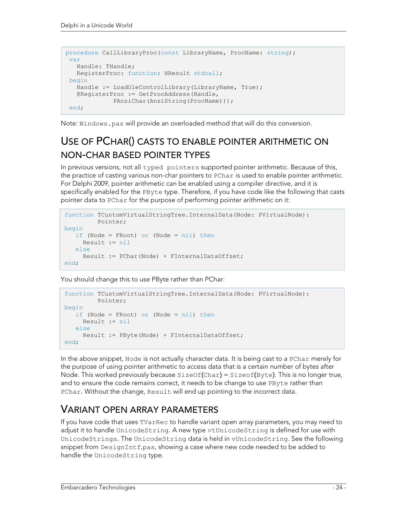```
procedure CallLibraryProc(const LibraryName, ProcName: string); 
var 
   Handle: THandle; 
  RegisterProc: function: HResult stdcall;
begin 
  Handle := LoadOleControlLibrary(LibraryName, True);
   @RegisterProc := GetProcAddress(Handle, 
             PAnsiChar(AnsiString(ProcName))); 
end;
```
Note: Windows.pas will provide an overloaded method that will do this conversion.

# USE OF PCHAR() CASTS TO ENABLE POINTER ARITHMETIC ON NON-CHAR BASED POINTER TYPES

In previous versions, not all typed pointers supported pointer arithmetic. Because of this, the practice of casting various non-char pointers to PChar is used to enable pointer arithmetic. For Delphi 2009, pointer arithmetic can be enabled using a compiler directive, and it is specifically enabled for the PByte type. Therefore, if you have code like the following that casts pointer data to PChar for the purpose of performing pointer arithmetic on it:

```
function TCustomVirtualStringTree.InternalData(Node: PVirtualNode): 
          Pointer; 
begin 
    if (Node = FRoot) or (Node = nil) then
      Result := nil
    else 
      Result := PChar(Node) + FInternalDataOffset; 
end;
```
You should change this to use PByte rather than PChar:

```
function TCustomVirtualStringTree.InternalData(Node: PVirtualNode): 
          Pointer; 
begin 
    if (Node = FRoot) or (Node = nil) then
      Result := nil
    else 
      Result := PByte(Node) + FInternalDataOffset; 
end;
```
In the above snippet, Node is not actually character data. It is being cast to a PChar merely for the purpose of using pointer arithmetic to access data that is a certain number of bytes after Node. This worked previously because  $SizeOf(Char) = SizeOf(Byte)$ . This is no longer true, and to ensure the code remains correct, it needs to be change to use PByte rather than PChar. Without the change, Result will end up pointing to the incorrect data.

#### VARIANT OPEN ARRAY PARAMETERS

If you have code that uses TVarRec to handle variant open array parameters, you may need to adjust it to handle UnicodeString. A new type vtUnicodeString is defined for use with UnicodeStrings. The UnicodeString data is held in vUnicodeString. See the following snippet from DesignIntf.pas, showing a case where new code needed to be added to handle the UnicodeString type.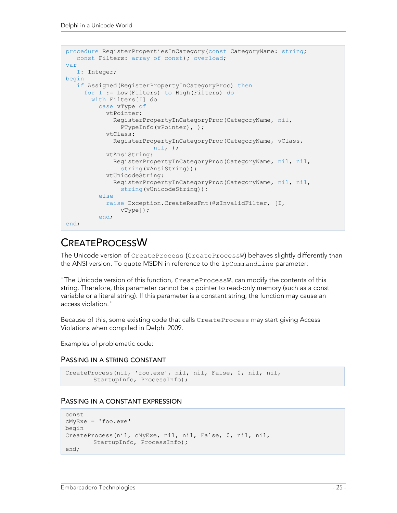```
procedure RegisterPropertiesInCategory(const CategoryName: string; 
    const Filters: array of const); overload; 
var 
    I: Integer; 
begin 
    if Assigned(RegisterPropertyInCategoryProc) then
      for I := Low(Filters) to High(Filters) do
        with Filters[I] do
          case vType of
            vtPointer: 
               RegisterPropertyInCategoryProc(CategoryName, nil, 
                 PTypeInfo(vPointer), ); 
             vtClass: 
               RegisterPropertyInCategoryProc(CategoryName, vClass, 
                          nil, ); 
             vtAnsiString: 
               RegisterPropertyInCategoryProc(CategoryName, nil, nil, 
                string(vAnsiString));
             vtUnicodeString: 
               RegisterPropertyInCategoryProc(CategoryName, nil, nil, 
                 string(vUnicodeString)); 
          else 
             raise Exception.CreateResFmt(@sInvalidFilter, [I, 
                vType]); 
          end; 
end;
```
### **CREATEPROCESSW**

The Unicode version of CreateProcess (CreateProcessW) behaves slightly differently than the ANSI version. To quote MSDN in reference to the lpCommandLine parameter:

"The Unicode version of this function, CreateProcessW, can modify the contents of this string. Therefore, this parameter cannot be a pointer to read-only memory (such as a const variable or a literal string). If this parameter is a constant string, the function may cause an access violation."

Because of this, some existing code that calls CreateProcess may start giving Access Violations when compiled in Delphi 2009.

Examples of problematic code:

#### PASSING IN A STRING CONSTANT

```
CreateProcess(nil, 'foo.exe', nil, nil, False, 0, nil, nil, 
         StartupInfo, ProcessInfo);
```
#### PASSING IN A CONSTANT EXPRESSION

```
const 
cMyExe = 'foo.exe' 
begin 
CreateProcess(nil, cMyExe, nil, nil, False, 0, nil, nil, 
         StartupInfo, ProcessInfo); 
end;
```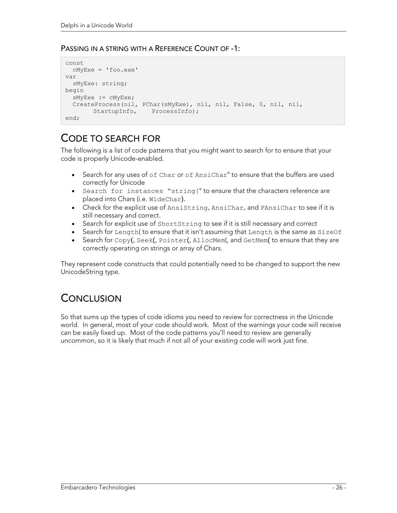#### PASSING IN A STRING WITH A REFERENCE COUNT OF -1:

```
const 
   cMyExe = 'foo.exe' 
var 
   sMyExe: string; 
begin 
   sMyExe := cMyExe; 
   CreateProcess(nil, PChar(sMyExe), nil, nil, False, 0, nil, nil, 
        StartupInfo, ProcessInfo);
end;
```
#### CODE TO SEARCH FOR

The following is a list of code patterns that you might want to search for to ensure that your code is properly Unicode-enabled.

- Search for any uses of of Char or of AnsiChar" to ensure that the buffers are used correctly for Unicode
- Search for instances "string[" to ensure that the characters reference are placed into Chars (i.e. WideChar).
- Check for the explicit use of AnsiString, AnsiChar, and PAnsiChar to see if it is still necessary and correct.
- Search for explicit use of ShortString to see if it is still necessary and correct
- Search for Length( to ensure that it isn't assuming that Length is the same as SizeOf
- Search for Copy(, Seek(, Pointer(, AllocMem(, and GetMem( to ensure that they are correctly operating on strings or array of Chars.

They represent code constructs that could potentially need to be changed to support the new UnicodeString type.

### **CONCLUSION**

So that sums up the types of code idioms you need to review for correctness in the Unicode world. In general, most of your code should work. Most of the warnings your code will receive can be easily fixed up. Most of the code patterns you'll need to review are generally uncommon, so it is likely that much if not all of your existing code will work just fine.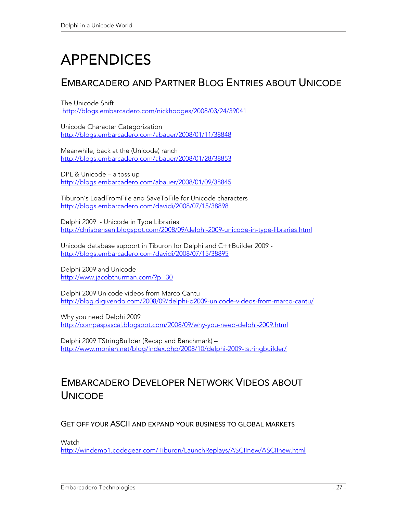# APPENDICES

### EMBARCADERO AND PARTNER BLOG ENTRIES ABOUT UNICODE

The Unicode Shift http://blogs.embarcadero.com/nickhodges/2008/03/24/39041

Unicode Character Categorization http://blogs.embarcadero.com/abauer/2008/01/11/38848

Meanwhile, back at the (Unicode) ranch http://blogs.embarcadero.com/abauer/2008/01/28/38853

DPL & Unicode – a toss up http://blogs.embarcadero.com/abauer/2008/01/09/38845

Tiburon's LoadFromFile and SaveToFile for Unicode characters http://blogs.embarcadero.com/davidi/2008/07/15/38898

Delphi 2009 - Unicode in Type Libraries http://chrisbensen.blogspot.com/2008/09/delphi-2009-unicode-in-type-libraries.html

Unicode database support in Tiburon for Delphi and C++Builder 2009 http://blogs.embarcadero.com/davidi/2008/07/15/38895

Delphi 2009 and Unicode http://www.jacobthurman.com/?p=30

Delphi 2009 Unicode videos from Marco Cantu http://blog.digivendo.com/2008/09/delphi-d2009-unicode-videos-from-marco-cantu/

Why you need Delphi 2009 http://compaspascal.blogspot.com/2008/09/why-you-need-delphi-2009.html

Delphi 2009 TStringBuilder (Recap and Benchmark) – http://www.monien.net/blog/index.php/2008/10/delphi-2009-tstringbuilder/

## EMBARCADERO DEVELOPER NETWORK VIDEOS ABOUT **UNICODE**

GET OFF YOUR ASCII AND EXPAND YOUR BUSINESS TO GLOBAL MARKETS

Watch

http://windemo1.codegear.com/Tiburon/LaunchReplays/ASCIInew/ASCIInew.html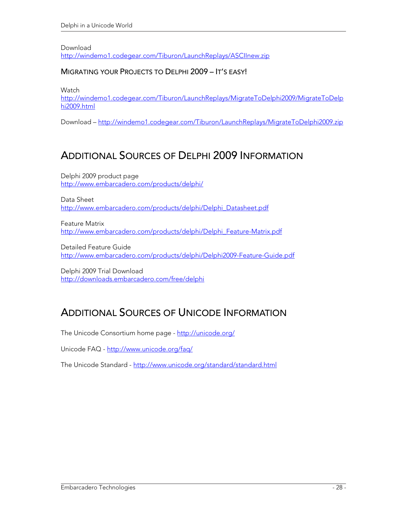Download http://windemo1.codegear.com/Tiburon/LaunchReplays/ASCIInew.zip

#### MIGRATING YOUR PROJECTS TO DELPHI 2009 – IT'S EASY!

**Watch** 

http://windemo1.codegear.com/Tiburon/LaunchReplays/MigrateToDelphi2009/MigrateToDelp hi2009.html

Download – http://windemo1.codegear.com/Tiburon/LaunchReplays/MigrateToDelphi2009.zip

#### ADDITIONAL SOURCES OF DELPHI 2009 INFORMATION

Delphi 2009 product page http://www.embarcadero.com/products/delphi/

Data Sheet http://www.embarcadero.com/products/delphi/Delphi\_Datasheet.pdf

Feature Matrix http://www.embarcadero.com/products/delphi/Delphi\_Feature-Matrix.pdf

Detailed Feature Guide http://www.embarcadero.com/products/delphi/Delphi2009-Feature-Guide.pdf

Delphi 2009 Trial Download http://downloads.embarcadero.com/free/delphi

### ADDITIONAL SOURCES OF UNICODE INFORMATION

The Unicode Consortium home page - http://unicode.org/

Unicode FAQ - http://www.unicode.org/faq/

The Unicode Standard - http://www.unicode.org/standard/standard.html